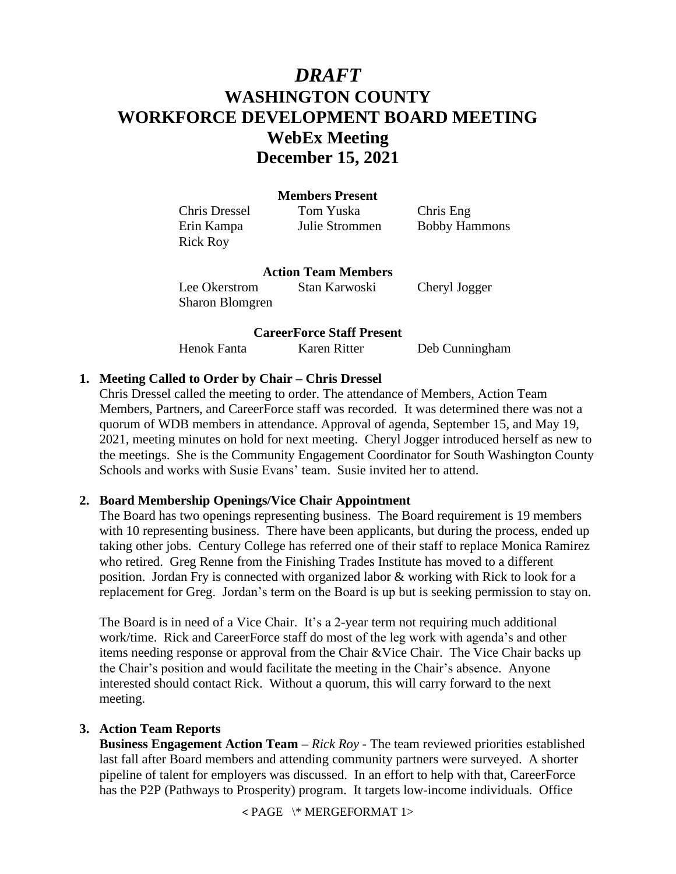# *DRAFT* **WASHINGTON COUNTY WORKFORCE DEVELOPMENT BOARD MEETING WebEx Meeting December 15, 2021**

## **Members Present**

Chris Dressel Tom Yuska Chris Eng Erin Kampa Julie Strommen Bobby Hammons Rick Roy

#### **Action Team Members**

Lee Okerstrom Stan Karwoski Cheryl Jogger Sharon Blomgren

# **CareerForce Staff Present**

Henok Fanta Karen Ritter Deb Cunningham

## **1. Meeting Called to Order by Chair – Chris Dressel**

Chris Dressel called the meeting to order. The attendance of Members, Action Team Members, Partners, and CareerForce staff was recorded. It was determined there was not a quorum of WDB members in attendance. Approval of agenda, September 15, and May 19, 2021, meeting minutes on hold for next meeting. Cheryl Jogger introduced herself as new to the meetings. She is the Community Engagement Coordinator for South Washington County Schools and works with Susie Evans' team. Susie invited her to attend.

## **2. Board Membership Openings/Vice Chair Appointment**

The Board has two openings representing business. The Board requirement is 19 members with 10 representing business. There have been applicants, but during the process, ended up taking other jobs. Century College has referred one of their staff to replace Monica Ramirez who retired. Greg Renne from the Finishing Trades Institute has moved to a different position. Jordan Fry is connected with organized labor & working with Rick to look for a replacement for Greg. Jordan's term on the Board is up but is seeking permission to stay on.

The Board is in need of a Vice Chair. It's a 2-year term not requiring much additional work/time. Rick and CareerForce staff do most of the leg work with agenda's and other items needing response or approval from the Chair &Vice Chair. The Vice Chair backs up the Chair's position and would facilitate the meeting in the Chair's absence. Anyone interested should contact Rick. Without a quorum, this will carry forward to the next meeting.

#### **3. Action Team Reports**

**Business Engagement Action Team –** *Rick Roy* - The team reviewed priorities established last fall after Board members and attending community partners were surveyed. A shorter pipeline of talent for employers was discussed. In an effort to help with that, CareerForce has the P2P (Pathways to Prosperity) program. It targets low-income individuals. Office

< PAGE \\* MERGEFORMAT 1>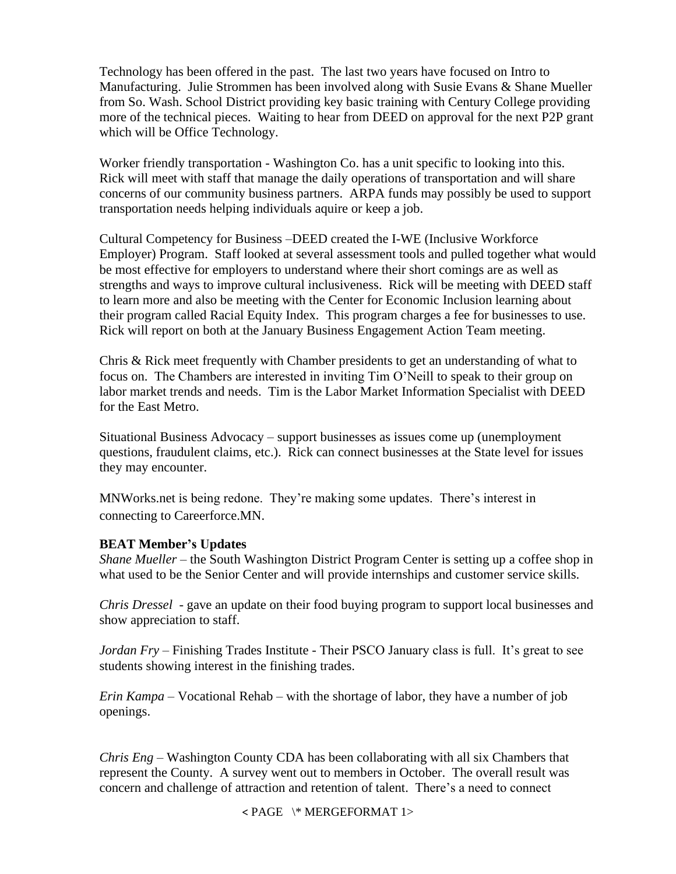Technology has been offered in the past. The last two years have focused on Intro to Manufacturing. Julie Strommen has been involved along with Susie Evans & Shane Mueller from So. Wash. School District providing key basic training with Century College providing more of the technical pieces. Waiting to hear from DEED on approval for the next P2P grant which will be Office Technology.

Worker friendly transportation - Washington Co. has a unit specific to looking into this. Rick will meet with staff that manage the daily operations of transportation and will share concerns of our community business partners. ARPA funds may possibly be used to support transportation needs helping individuals aquire or keep a job.

Cultural Competency for Business –DEED created the I-WE (Inclusive Workforce Employer) Program. Staff looked at several assessment tools and pulled together what would be most effective for employers to understand where their short comings are as well as strengths and ways to improve cultural inclusiveness. Rick will be meeting with DEED staff to learn more and also be meeting with the Center for Economic Inclusion learning about their program called Racial Equity Index. This program charges a fee for businesses to use. Rick will report on both at the January Business Engagement Action Team meeting.

Chris & Rick meet frequently with Chamber presidents to get an understanding of what to focus on. The Chambers are interested in inviting Tim O'Neill to speak to their group on labor market trends and needs. Tim is the Labor Market Information Specialist with DEED for the East Metro.

Situational Business Advocacy – support businesses as issues come up (unemployment questions, fraudulent claims, etc.). Rick can connect businesses at the State level for issues they may encounter.

MNWorks.net is being redone. They're making some updates. There's interest in connecting to Careerforce.MN.

## **BEAT Member's Updates**

*Shane Mueller* – the South Washington District Program Center is setting up a coffee shop in what used to be the Senior Center and will provide internships and customer service skills.

*Chris Dressel* - gave an update on their food buying program to support local businesses and show appreciation to staff.

*Jordan Fry* – Finishing Trades Institute - Their PSCO January class is full. It's great to see students showing interest in the finishing trades.

*Erin Kampa* – Vocational Rehab – with the shortage of labor, they have a number of job openings.

*Chris Eng* – Washington County CDA has been collaborating with all six Chambers that represent the County. A survey went out to members in October. The overall result was concern and challenge of attraction and retention of talent. There's a need to connect

< PAGE \\* MERGEFORMAT 1>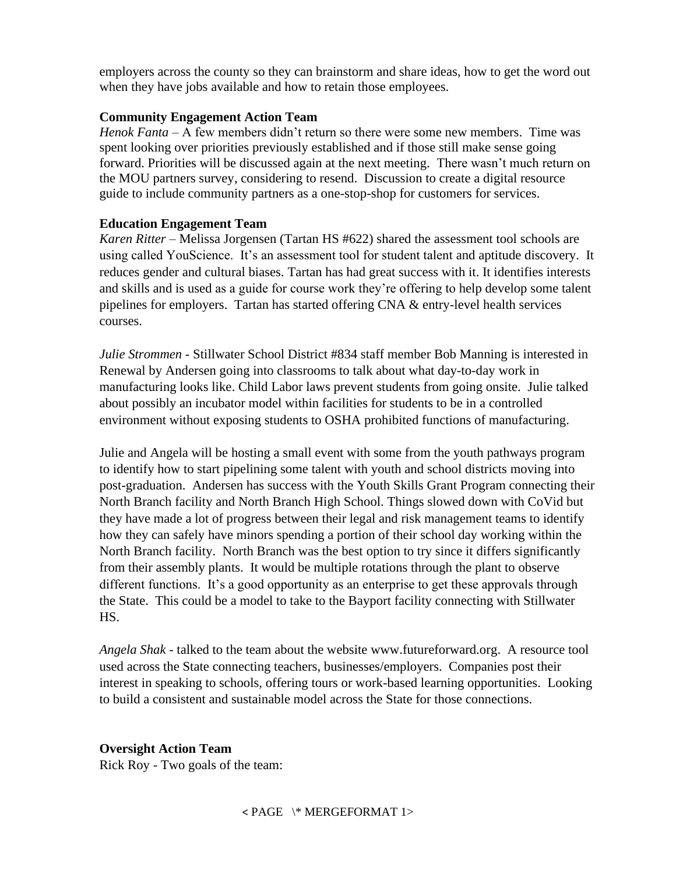employers across the county so they can brainstorm and share ideas, how to get the word out when they have jobs available and how to retain those employees.

## **Community Engagement Action Team**

*Henok Fanta* – A few members didn't return so there were some new members. Time was spent looking over priorities previously established and if those still make sense going forward. Priorities will be discussed again at the next meeting. There wasn't much return on the MOU partners survey, considering to resend. Discussion to create a digital resource guide to include community partners as a one-stop-shop for customers for services.

## **Education Engagement Team**

*Karen Ritter* – Melissa Jorgensen (Tartan HS #622) shared the assessment tool schools are using called YouScience. It's an assessment tool for student talent and aptitude discovery. It reduces gender and cultural biases. Tartan has had great success with it. It identifies interests and skills and is used as a guide for course work they're offering to help develop some talent pipelines for employers. Tartan has started offering CNA & entry-level health services courses.

*Julie Strommen* - Stillwater School District #834 staff member Bob Manning is interested in Renewal by Andersen going into classrooms to talk about what day-to-day work in manufacturing looks like. Child Labor laws prevent students from going onsite. Julie talked about possibly an incubator model within facilities for students to be in a controlled environment without exposing students to OSHA prohibited functions of manufacturing.

Julie and Angela will be hosting a small event with some from the youth pathways program to identify how to start pipelining some talent with youth and school districts moving into post-graduation. Andersen has success with the Youth Skills Grant Program connecting their North Branch facility and North Branch High School. Things slowed down with CoVid but they have made a lot of progress between their legal and risk management teams to identify how they can safely have minors spending a portion of their school day working within the North Branch facility. North Branch was the best option to try since it differs significantly from their assembly plants. It would be multiple rotations through the plant to observe different functions. It's a good opportunity as an enterprise to get these approvals through the State. This could be a model to take to the Bayport facility connecting with Stillwater HS.

*Angela Shak* - talked to the team about the website www.futureforward.org. A resource tool used across the State connecting teachers, businesses/employers. Companies post their interest in speaking to schools, offering tours or work-based learning opportunities. Looking to build a consistent and sustainable model across the State for those connections.

# **Oversight Action Team**

Rick Roy - Two goals of the team: